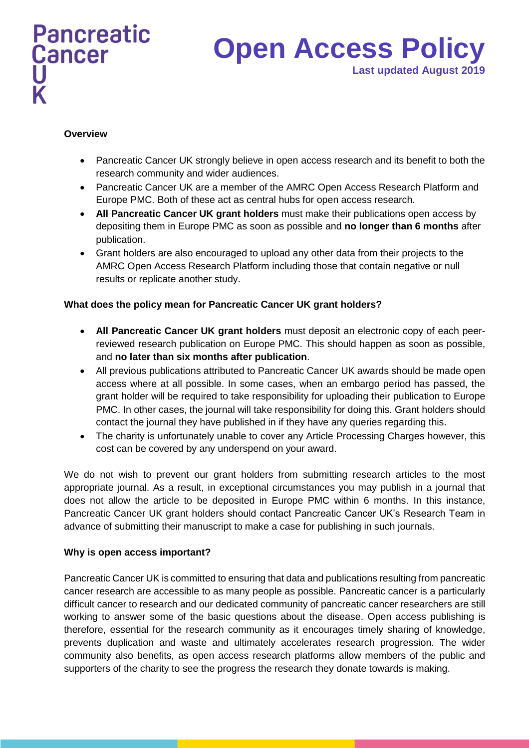# **Open Access Policy Last updated August 2019**

## **Overview**

- Pancreatic Cancer UK strongly believe in open access research and its benefit to both the research community and wider audiences.
- Pancreatic Cancer UK are a member of the AMRC Open Access Research Platform and Europe PMC. Both of these act as central hubs for open access research.
- **All Pancreatic Cancer UK grant holders** must make their publications open access by depositing them in Europe PMC as soon as possible and **no longer than 6 months** after publication.
- Grant holders are also encouraged to upload any other data from their projects to the AMRC Open Access Research Platform including those that contain negative or null results or replicate another study.

### **What does the policy mean for Pancreatic Cancer UK grant holders?**

- **All Pancreatic Cancer UK grant holders** must deposit an electronic copy of each peerreviewed research publication on Europe PMC. This should happen as soon as possible, and **no later than six months after publication**.
- All previous publications attributed to Pancreatic Cancer UK awards should be made open access where at all possible. In some cases, when an embargo period has passed, the grant holder will be required to take responsibility for uploading their publication to Europe PMC. In other cases, the journal will take responsibility for doing this. Grant holders should contact the journal they have published in if they have any queries regarding this.
- The charity is unfortunately unable to cover any Article Processing Charges however, this cost can be covered by any underspend on your award.

We do not wish to prevent our grant holders from submitting research articles to the most appropriate journal. As a result, in exceptional circumstances you may publish in a journal that does not allow the article to be deposited in Europe PMC within 6 months. In this instance, Pancreatic Cancer UK grant holders should contact Pancreatic Cancer UK's Research Team in advance of submitting their manuscript to make a case for publishing in such journals.

### **Why is open access important?**

Pancreatic Cancer UK is committed to ensuring that data and publications resulting from pancreatic cancer research are accessible to as many people as possible. Pancreatic cancer is a particularly difficult cancer to research and our dedicated community of pancreatic cancer researchers are still working to answer some of the basic questions about the disease. Open access publishing is therefore, essential for the research community as it encourages timely sharing of knowledge, prevents duplication and waste and ultimately accelerates research progression. The wider community also benefits, as open access research platforms allow members of the public and supporters of the charity to see the progress the research they donate towards is making.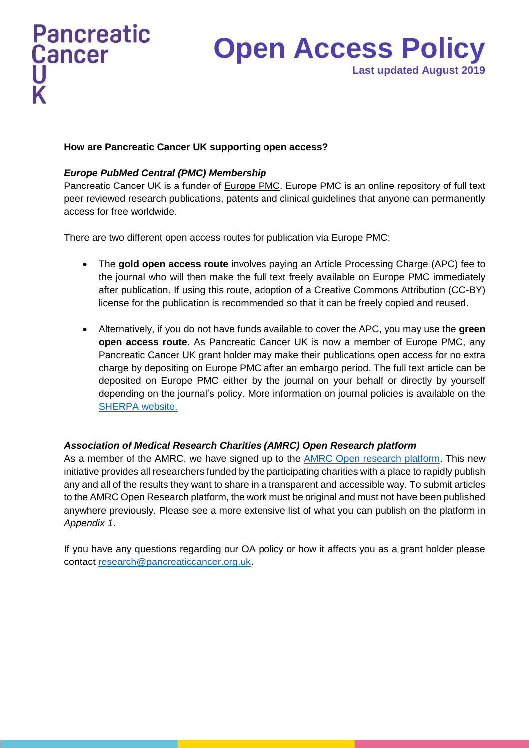# **Open Access Policy Last updated August 2019**

# **How are Pancreatic Cancer UK supporting open access?**

# *Europe PubMed Central (PMC) Membership*

Pancreatic Cancer UK is a funder of [Europe PMC.](https://europepmc.org/) Europe PMC is an online repository of full text peer reviewed research publications, patents and clinical guidelines that anyone can permanently access for free worldwide.

There are two different open access routes for publication via Europe PMC:

- The **gold open access route** involves paying an Article Processing Charge (APC) fee to the journal who will then make the full text freely available on Europe PMC immediately after publication. If using this route, adoption of a Creative Commons Attribution (CC-BY) license for the publication is recommended so that it can be freely copied and reused.
- Alternatively, if you do not have funds available to cover the APC, you may use the **green open access route**. As Pancreatic Cancer UK is now a member of Europe PMC, any Pancreatic Cancer UK grant holder may make their publications open access for no extra charge by depositing on Europe PMC after an embargo period. The full text article can be deposited on Europe PMC either by the journal on your behalf or directly by yourself depending on the journal's policy. More information on journal policies is available on the [SHERPA website.](http://www.sherpa.ac.uk/)

# *Association of Medical Research Charities (AMRC) Open Research platform*

As a member of the AMRC, we have signed up to the **AMRC** Open research platform. This new initiative provides all researchers funded by the participating charities with a place to rapidly publish any and all of the results they want to share in a transparent and accessible way. To submit articles to the AMRC Open Research platform, the work must be original and must not have been published anywhere previously. Please see a more extensive list of what you can publish on the platform in *Appendix 1*.

If you have any questions regarding our OA policy or how it affects you as a grant holder please contact [research@pancreaticcancer.org.uk.](mailto:research@pancreaticcancer.org.uk)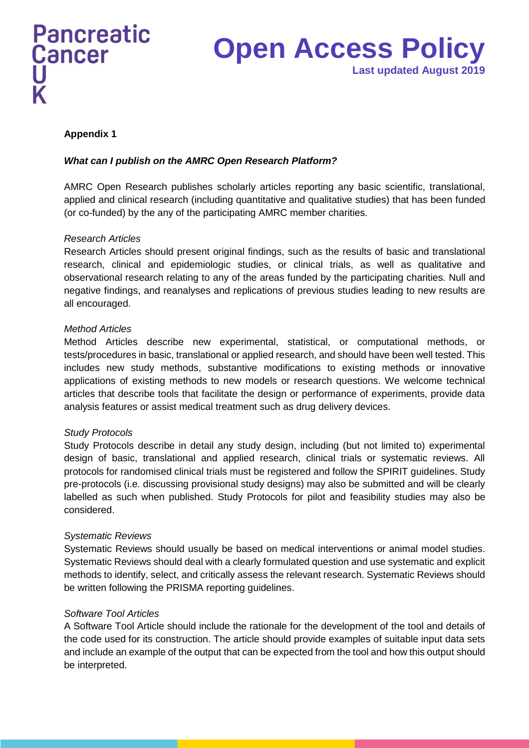# **Open Access Policy Last updated August 2019**

# **Appendix 1**

# *What can I publish on the AMRC Open Research Platform?*

AMRC Open Research publishes scholarly articles reporting any basic scientific, translational, applied and clinical research (including quantitative and qualitative studies) that has been funded (or co-funded) by the any of the participating AMRC member charities.

### *Research Articles*

Research Articles should present original findings, such as the results of basic and translational research, clinical and epidemiologic studies, or clinical trials, as well as qualitative and observational research relating to any of the areas funded by the participating charities. Null and negative findings, and reanalyses and replications of previous studies leading to new results are all encouraged.

### *Method Articles*

Method Articles describe new experimental, statistical, or computational methods, or tests/procedures in basic, translational or applied research, and should have been well tested. This includes new study methods, substantive modifications to existing methods or innovative applications of existing methods to new models or research questions. We welcome technical articles that describe tools that facilitate the design or performance of experiments, provide data analysis features or assist medical treatment such as drug delivery devices.

### *Study Protocols*

Study Protocols describe in detail any study design, including (but not limited to) experimental design of basic, translational and applied research, clinical trials or systematic reviews. All protocols for randomised clinical trials must be registered and follow the SPIRIT guidelines. Study pre-protocols (i.e. discussing provisional study designs) may also be submitted and will be clearly labelled as such when published. Study Protocols for pilot and feasibility studies may also be considered.

# *Systematic Reviews*

Systematic Reviews should usually be based on medical interventions or animal model studies. Systematic Reviews should deal with a clearly formulated question and use systematic and explicit methods to identify, select, and critically assess the relevant research. Systematic Reviews should be written following the PRISMA reporting guidelines.

### *Software Tool Articles*

A Software Tool Article should include the rationale for the development of the tool and details of the code used for its construction. The article should provide examples of suitable input data sets and include an example of the output that can be expected from the tool and how this output should be interpreted.